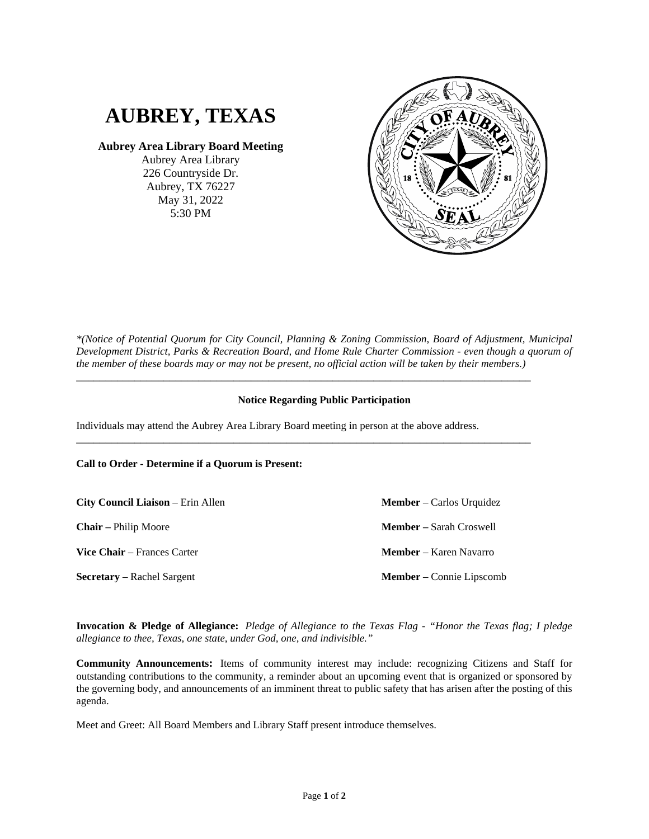

**Aubrey Area Library Board Meeting**

Aubrey Area Library 226 Countryside Dr. Aubrey, TX 76227 May 31, 2022 5:30 PM



*\*(Notice of Potential Quorum for City Council, Planning & Zoning Commission, Board of Adjustment, Municipal Development District, Parks & Recreation Board, and Home Rule Charter Commission - even though a quorum of the member of these boards may or may not be present, no official action will be taken by their members.)*

## **Notice Regarding Public Participation**

\_\_\_\_\_\_\_\_\_\_\_\_\_\_\_\_\_\_\_\_\_\_\_\_\_\_\_\_\_\_\_\_\_\_\_\_\_\_\_\_\_\_\_\_\_\_\_\_\_\_\_\_\_\_\_\_\_\_\_\_\_\_\_\_\_\_\_\_\_\_\_\_\_\_\_\_\_\_

\_\_\_\_\_\_\_\_\_\_\_\_\_\_\_\_\_\_\_\_\_\_\_\_\_\_\_\_\_\_\_\_\_\_\_\_\_\_\_\_\_\_\_\_\_\_\_\_\_\_\_\_\_\_\_\_\_\_\_\_\_\_\_\_\_\_\_\_\_\_\_\_\_\_\_\_\_\_

Individuals may attend the Aubrey Area Library Board meeting in person at the above address.

**Call to Order - Determine if a Quorum is Present:**

**City Council Liaison** – Erin Allen **Chair –** Philip Moore **Vice Chair** – Frances Carter **Member** – Carlos Urquidez **Member –** Sarah Croswell **Member** – Karen Navarro **Secretary** – Rachel Sargent **Member** – Connie Lipscomb

**Invocation & Pledge of Allegiance:** *Pledge of Allegiance to the Texas Flag - "Honor the Texas flag; I pledge allegiance to thee, Texas, one state, under God, one, and indivisible."*

**Community Announcements:** Items of community interest may include: recognizing Citizens and Staff for outstanding contributions to the community, a reminder about an upcoming event that is organized or sponsored by the governing body, and announcements of an imminent threat to public safety that has arisen after the posting of this agenda.

Meet and Greet: All Board Members and Library Staff present introduce themselves.